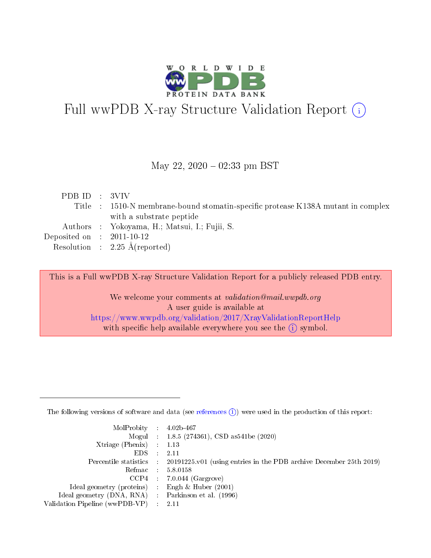

# Full wwPDB X-ray Structure Validation Report (i)

#### May 22,  $2020 - 02:33$  pm BST

| PDB ID : 3VIV                                                                    |  |
|----------------------------------------------------------------------------------|--|
| Title : 1510-N membrane-bound stomatin-specific protease K138A mutant in complex |  |
| with a substrate peptide                                                         |  |
| Authors : Yokoyama, H.; Matsui, I.; Fujii, S.                                    |  |
| Deposited on : $2011-10-12$                                                      |  |
| Resolution : $2.25 \text{ Å}$ (reported)                                         |  |

This is a Full wwPDB X-ray Structure Validation Report for a publicly released PDB entry.

We welcome your comments at validation@mail.wwpdb.org A user guide is available at <https://www.wwpdb.org/validation/2017/XrayValidationReportHelp> with specific help available everywhere you see the  $(i)$  symbol.

The following versions of software and data (see [references](https://www.wwpdb.org/validation/2017/XrayValidationReportHelp#references)  $(1)$ ) were used in the production of this report:

| $MolProbability$ 4.02b-467                          |               |                                                                                            |
|-----------------------------------------------------|---------------|--------------------------------------------------------------------------------------------|
|                                                     |               | Mogul : $1.8.5$ (274361), CSD as 541be (2020)                                              |
| Xtriage (Phenix) $: 1.13$                           |               |                                                                                            |
| EDS.                                                | $\mathcal{L}$ | -2.11                                                                                      |
|                                                     |               | Percentile statistics : 20191225.v01 (using entries in the PDB archive December 25th 2019) |
|                                                     |               | Refmac $5.8.0158$                                                                          |
| CCP4                                                |               | $7.0.044$ (Gargrove)                                                                       |
| Ideal geometry (proteins)                           | $\sim$        | Engh $\&$ Huber (2001)                                                                     |
| Ideal geometry (DNA, RNA) : Parkinson et al. (1996) |               |                                                                                            |
| Validation Pipeline (wwPDB-VP) : 2.11               |               |                                                                                            |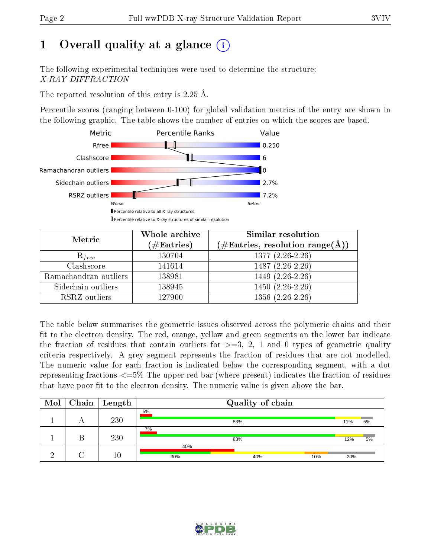# 1 [O](https://www.wwpdb.org/validation/2017/XrayValidationReportHelp#overall_quality)verall quality at a glance  $(i)$

The following experimental techniques were used to determine the structure: X-RAY DIFFRACTION

The reported resolution of this entry is 2.25 Å.

Percentile scores (ranging between 0-100) for global validation metrics of the entry are shown in the following graphic. The table shows the number of entries on which the scores are based.



| Metric                | Whole archive<br>$(\#\text{Entries})$ | <b>Similar resolution</b><br>$(\#\text{Entries}, \text{resolution range}(\text{\AA}))$ |
|-----------------------|---------------------------------------|----------------------------------------------------------------------------------------|
| $R_{free}$            | 130704                                | $1377(2.26-2.26)$                                                                      |
| Clashscore            | 141614                                | 1487 (2.26-2.26)                                                                       |
| Ramachandran outliers | 138981                                | $1449(2.26-2.26)$                                                                      |
| Sidechain outliers    | 138945                                | $1450(2.26-2.26)$                                                                      |
| RSRZ outliers         | 127900                                | $1356(2.26-2.26)$                                                                      |

The table below summarises the geometric issues observed across the polymeric chains and their fit to the electron density. The red, orange, yellow and green segments on the lower bar indicate the fraction of residues that contain outliers for  $>=3, 2, 1$  and 0 types of geometric quality criteria respectively. A grey segment represents the fraction of residues that are not modelled. The numeric value for each fraction is indicated below the corresponding segment, with a dot representing fractions  $\epsilon=5\%$  The upper red bar (where present) indicates the fraction of residues that have poor fit to the electron density. The numeric value is given above the bar.

| Mol | Chain   Length | Quality of chain |     |     |     |    |  |
|-----|----------------|------------------|-----|-----|-----|----|--|
|     | 230            | 5%               | 83% |     | 11% | 5% |  |
|     | 230            | 7%               | 83% |     | 12% | 5% |  |
|     | 10             | 40%<br>30%       | 40% | 10% | 20% |    |  |

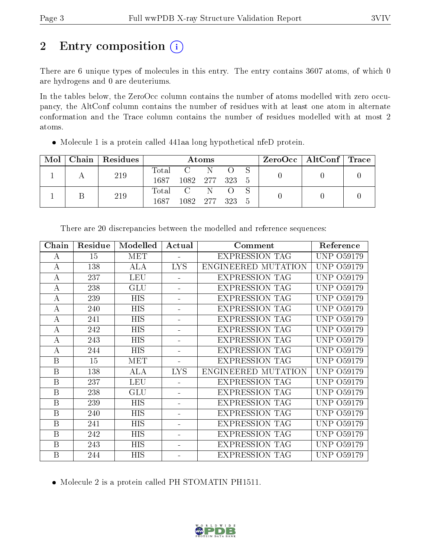# 2 Entry composition (i)

There are 6 unique types of molecules in this entry. The entry contains 3607 atoms, of which 0 are hydrogens and 0 are deuteriums.

In the tables below, the ZeroOcc column contains the number of atoms modelled with zero occupancy, the AltConf column contains the number of residues with at least one atom in alternate conformation and the Trace column contains the number of residues modelled with at most 2 atoms.

| Mol |  | Chain   Residues | Atoms               |         |  |  |  | $ZeroOcc \mid AltConf \mid Trace$ |  |
|-----|--|------------------|---------------------|---------|--|--|--|-----------------------------------|--|
|     |  | 219              | Total               | $C = N$ |  |  |  |                                   |  |
|     |  |                  | 1687 1082 277 323 5 |         |  |  |  |                                   |  |
|     |  | 219              | Total C N           |         |  |  |  |                                   |  |
|     |  | 1687             | 1082 277 323        |         |  |  |  |                                   |  |

Molecule 1 is a protein called 441aa long hypothetical nfeD protein.

| Chain            | Residue | Modelled   | Actual<br>Comment        |                       | Reference                   |
|------------------|---------|------------|--------------------------|-----------------------|-----------------------------|
| А                | 15      | <b>MET</b> |                          | <b>EXPRESSION TAG</b> | <b>UNP 059179</b>           |
| $\boldsymbol{A}$ | 138     | ALA        | <b>LYS</b>               | ENGINEERED MUTATION   | <b>UNP 059179</b>           |
| А                | 237     | <b>LEU</b> |                          | <b>EXPRESSION TAG</b> | <b>UNP 059179</b>           |
| A                | 238     | GLU        |                          | <b>EXPRESSION TAG</b> | UNP 059179                  |
| A                | 239     | <b>HIS</b> |                          | <b>EXPRESSION TAG</b> | UNP 059179                  |
| А                | 240     | HIS        |                          | <b>EXPRESSION TAG</b> | UNP 059179                  |
| А                | 241     | <b>HIS</b> |                          | <b>EXPRESSION TAG</b> | <b>UNP 059179</b>           |
| А                | 242     | HIS        |                          | <b>EXPRESSION TAG</b> | UNP 059179                  |
| $\boldsymbol{A}$ | 243     | <b>HIS</b> | $\overline{\phantom{a}}$ | <b>EXPRESSION TAG</b> | UNP 059179                  |
| А                | 244     | HIS        |                          | <b>EXPRESSION TAG</b> | <b>UNP 059179</b>           |
| B                | 15      | <b>MET</b> | $\overline{\phantom{a}}$ | <b>EXPRESSION TAG</b> | <b>UNP 059179</b>           |
| B                | 138     | ALA        | <b>LYS</b>               | ENGINEERED MUTATION   | <b>UNP 059179</b>           |
| B                | 237     | <b>LEU</b> |                          | <b>EXPRESSION TAG</b> | <b>UNP 059179</b>           |
| B                | 238     | GLU        |                          | <b>EXPRESSION TAG</b> | UNP 059179                  |
| B                | 239     | <b>HIS</b> |                          | <b>EXPRESSION TAG</b> | UNP 059179                  |
| B                | 240     | HIS        |                          | <b>EXPRESSION TAG</b> | <b>UNP 059179</b>           |
| B                | 241     | HIS        |                          | <b>EXPRESSION TAG</b> | <b>UNP 059179</b>           |
| B                | 242     | HIS        |                          | <b>EXPRESSION TAG</b> | <b>UNP 059179</b>           |
| B                | 243     | HIS        |                          | <b>EXPRESSION TAG</b> | UNP-<br>O <sub>59</sub> 179 |
| B                | 244     | HIS        |                          | <b>EXPRESSION TAG</b> | <b>UNP 059179</b>           |

There are 20 discrepancies between the modelled and reference sequences:

Molecule 2 is a protein called PH STOMATIN PH1511.

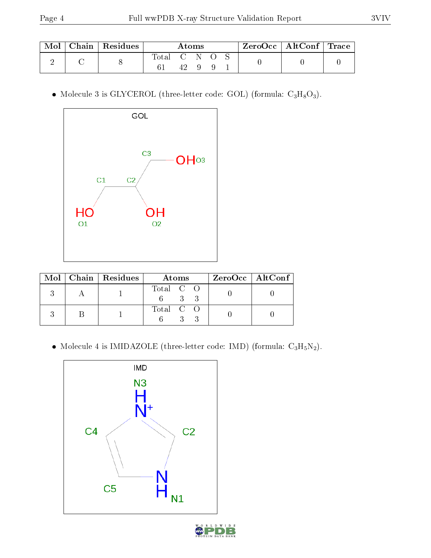| Mol | Chain   Residues | Atoms  |  |  | $\text{ZeroOcc} \mid \text{AltConf} \mid \text{Trace}$ |  |  |  |
|-----|------------------|--------|--|--|--------------------------------------------------------|--|--|--|
|     |                  | l'otal |  |  |                                                        |  |  |  |

• Molecule 3 is GLYCEROL (three-letter code: GOL) (formula:  $C_3H_8O_3$ ).



|  | $Mol$   Chain   Residues | Atoms     | $ZeroOcc \   \$ AltConf |
|--|--------------------------|-----------|-------------------------|
|  |                          | Total C O |                         |
|  |                          | Total C O |                         |

• Molecule 4 is IMIDAZOLE (three-letter code: IMD) (formula:  $C_3H_5N_2$ ).

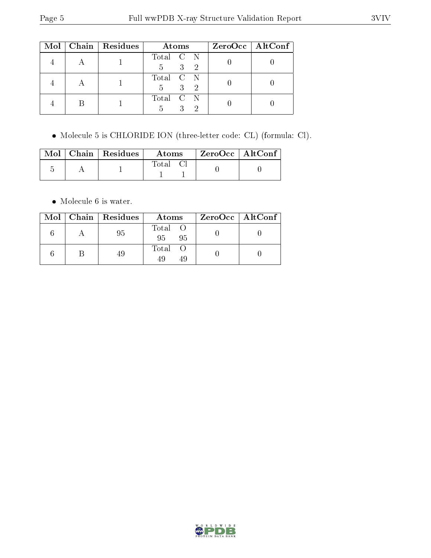|  | $Mol$   Chain   Residues | Atoms                                                 | $ZeroOcc$   AltConf |
|--|--------------------------|-------------------------------------------------------|---------------------|
|  |                          | Total C N<br>3 <sup>1</sup><br>$5 -$<br>-2            |                     |
|  |                          | Total C N<br>3 <sup>1</sup><br>$5 -$<br>$\mathcal{D}$ |                     |
|  |                          | Total C N<br>3<br>ച<br>5                              |                     |

Molecule 5 is CHLORIDE ION (three-letter code: CL) (formula: Cl).

|  | $\text{Mol}$   Chain   Residues | Atoms | $^\mathrm{+}$ ZeroOcc $\mathrm{~\vert}$ AltConf $\mathrm{~\vert}$ |  |
|--|---------------------------------|-------|-------------------------------------------------------------------|--|
|  |                                 | Total |                                                                   |  |

• Molecule 6 is water.

|  | $Mol$   Chain   Residues | Atoms                | $ZeroOcc \   \ AltConf \  $ |
|--|--------------------------|----------------------|-----------------------------|
|  | -95                      | Total O<br>95<br>-95 |                             |
|  |                          | Total O<br>49        |                             |

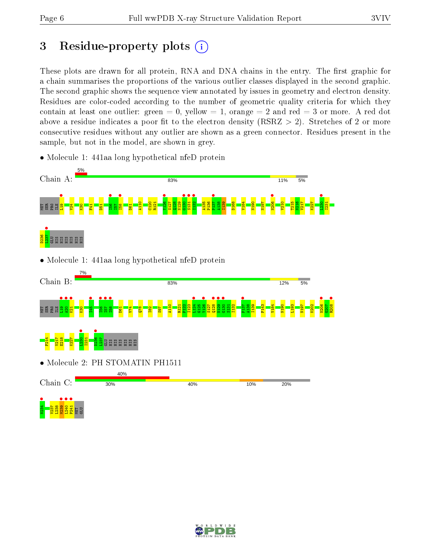# 3 Residue-property plots  $(i)$

These plots are drawn for all protein, RNA and DNA chains in the entry. The first graphic for a chain summarises the proportions of the various outlier classes displayed in the second graphic. The second graphic shows the sequence view annotated by issues in geometry and electron density. Residues are color-coded according to the number of geometric quality criteria for which they contain at least one outlier: green  $= 0$ , yellow  $= 1$ , orange  $= 2$  and red  $= 3$  or more. A red dot above a residue indicates a poor fit to the electron density (RSRZ  $> 2$ ). Stretches of 2 or more consecutive residues without any outlier are shown as a green connector. Residues present in the sample, but not in the model, are shown in grey.

- Chain A: 83% 11% 5% MET SER PRO INTERNA<br>E BRE E E <mark>21 pr</mark>o •<br>I56<br>I=¤ **•**<br>158 •  $\frac{126}{132}$  $\frac{130}{131}$  $\frac{131}{132}$ I132 • P137 • **•**<br>N206  $\frac{1230}{1231}$ A110  $\frac{120}{1}$ R121 S127  $\frac{28}{128}$ N129 A135 P136 A138 I139 D168 V184 N190 N197 V210 T215 N216 V217 K227 I231  $\frac{8}{2}$  $\frac{41}{4}$ D51  $\frac{1}{2}$ D61  $\frac{1237}{\pi}$ D236 GLU S S S S S S S • Molecule 1: 441aa long hypothetical nfeD protein Chain B: 83% 12% 5% MET SER PRO ILE<br>MET SER PRO IL **•**<br>145 •<br>E5<br>E5 e<br>Esc **•**<br>158  $\frac{124}{124}$  $\frac{126}{2137}$  $\frac{128}{\text{cm}^2}$  $\frac{1}{29}$  $\frac{130}{1131}$ P137 •  $\frac{10006}{\frac{10007}{\cdots}}$ **।**<br>ଜ208 A110 R121 P122<br>P122 I123 G125 S127 S131 I132  $\frac{38}{4}$ I139 F143 V184 N190 L193 N197  $\frac{20}{2}$  $G207$  $\frac{8}{2}$  $\overline{8}$  $\frac{4}{1}$  $\frac{8}{10}$  $\frac{182}{15}$  $597$  $\frac{1230}{1234}$  $\frac{1}{1}$ F214 V217 E218 K227 I231  $L237$ GLU HIS HIS HIS HIS HIS HIS • Molecule 2: PH STOMATIN PH1511 40% Chain C: 30% 40% 10% 20% **•**<br>237 - 238 839 34<br>238 238 238 MET GLU
- Molecule 1: 441aa long hypothetical nfeD protein

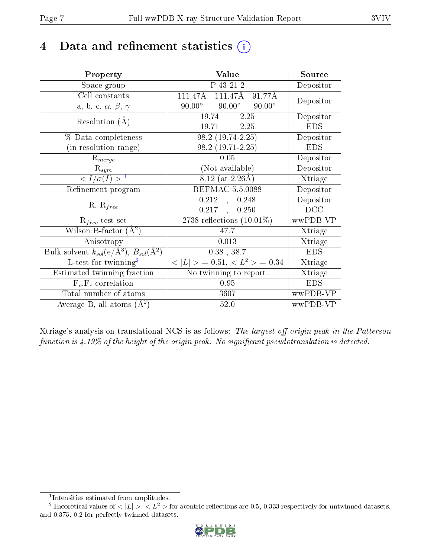# 4 Data and refinement statistics  $(i)$

| Property                                                         | Value                                           | Source     |
|------------------------------------------------------------------|-------------------------------------------------|------------|
| Space group                                                      | $\overline{P}$ 43 21 2                          | Depositor  |
| Cell constants                                                   | $111.47\text{\AA}$<br>111.47Å<br>91.77Å         | Depositor  |
| a, b, c, $\alpha$ , $\beta$ , $\gamma$                           | $90.00^\circ$<br>$90.00^\circ$<br>$90.00^\circ$ |            |
| Resolution $(A)$                                                 | 2.25<br>19.74<br>$\frac{1}{2}$                  | Depositor  |
|                                                                  | 19.71<br>$-2.25$                                | <b>EDS</b> |
| % Data completeness                                              | $98.2(19.74-2.25)$                              | Depositor  |
| (in resolution range)                                            | $98.2(19.71-2.25)$                              | <b>EDS</b> |
| $R_{merge}$                                                      | 0.05                                            | Depositor  |
| $\mathrm{R}_{sym}$                                               | (Not available)                                 | Depositor  |
| $\langle I/\sigma(I) \rangle^{-1}$                               | $8.12$ (at 2.26Å)                               | Xtriage    |
| Refinement program                                               | <b>REFMAC 5.5.0088</b>                          | Depositor  |
|                                                                  | 0.212<br>0.248<br>$\mathcal{A}^{\pm}$           | Depositor  |
| $R, R_{free}$                                                    | $0.217$ ,<br>0.250                              | DCC        |
| $R_{free}$ test set                                              | 2738 reflections $(10.01\%)$                    | wwPDB-VP   |
| Wilson B-factor $(A^2)$                                          | 47.7                                            | Xtriage    |
| Anisotropy                                                       | 0.013                                           | Xtriage    |
| Bulk solvent $k_{sol}(\text{e}/\text{A}^3), B_{sol}(\text{A}^2)$ | $0.38$ , $38.7$                                 | <b>EDS</b> |
| L-test for $\mathrm{twinning}^2$                                 | $< L >$ = 0.51, $< L2 >$ = 0.34                 | Xtriage    |
| Estimated twinning fraction                                      | No twinning to report.                          | Xtriage    |
| $\overline{F_o}, \overline{F_c}$ correlation                     | 0.95                                            | <b>EDS</b> |
| Total number of atoms                                            | 3607                                            | wwPDB-VP   |
| Average B, all atoms $(A^2)$                                     | 52.0                                            | wwPDB-VP   |

Xtriage's analysis on translational NCS is as follows: The largest off-origin peak in the Patterson function is  $4.19\%$  of the height of the origin peak. No significant pseudotranslation is detected.

<sup>&</sup>lt;sup>2</sup>Theoretical values of  $\langle |L| \rangle$ ,  $\langle L^2 \rangle$  for acentric reflections are 0.5, 0.333 respectively for untwinned datasets, and 0.375, 0.2 for perfectly twinned datasets.



<span id="page-6-1"></span><span id="page-6-0"></span><sup>1</sup> Intensities estimated from amplitudes.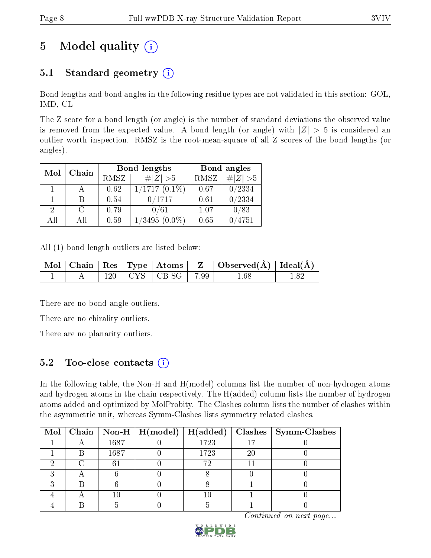# 5 Model quality  $(i)$

### 5.1 Standard geometry  $(i)$

Bond lengths and bond angles in the following residue types are not validated in this section: GOL, IMD, CL

The Z score for a bond length (or angle) is the number of standard deviations the observed value is removed from the expected value. A bond length (or angle) with  $|Z| > 5$  is considered an outlier worth inspection. RMSZ is the root-mean-square of all Z scores of the bond lengths (or angles).

| Mol | Chain |      | Bond lengths    | Bond angles |           |
|-----|-------|------|-----------------|-------------|-----------|
|     |       | RMSZ | # $ Z >5$       | RMSZ        | # $ Z >5$ |
|     |       | 0.62 | $1/1717(0.1\%)$ | 0.67        | /2334     |
|     |       | 0.54 | $\sqrt{0/1717}$ | 0.61        | /2334     |
| 2   |       | 0.79 | 0/61            | 1.07        | 0/83      |
| AΠ  | ΑH    | 0.59 | $^{\prime}3495$ | 0.65        | 4751      |

All (1) bond length outliers are listed below:

|  |         | $\pm \text{Mol} \parallel \text{Chain} \parallel \text{Res} \parallel \text{Type} \parallel \text{Atoms} \parallel \text{Z} \perp \parallel$ | $\vert$ Observed( $\AA$ ) $\vert$ Ideal( $\AA$ ) $\vert$ |  |
|--|---------|----------------------------------------------------------------------------------------------------------------------------------------------|----------------------------------------------------------|--|
|  | $120 -$ | $\vert$ CYS $\vert$ CB-SG $\vert$ -7.99                                                                                                      | 1.68                                                     |  |

There are no bond angle outliers.

There are no chirality outliers.

There are no planarity outliers.

### 5.2 Too-close contacts  $\overline{a}$

In the following table, the Non-H and H(model) columns list the number of non-hydrogen atoms and hydrogen atoms in the chain respectively. The H(added) column lists the number of hydrogen atoms added and optimized by MolProbity. The Clashes column lists the number of clashes within the asymmetric unit, whereas Symm-Clashes lists symmetry related clashes.

|  |      |      |    | Mol   Chain   Non-H   H(model)   H(added)   Clashes   Symm-Clashes |
|--|------|------|----|--------------------------------------------------------------------|
|  | 1687 | 1723 |    |                                                                    |
|  | 1687 | 1723 | 20 |                                                                    |
|  |      | 72   |    |                                                                    |
|  |      |      |    |                                                                    |
|  |      |      |    |                                                                    |
|  |      |      |    |                                                                    |
|  |      |      |    |                                                                    |

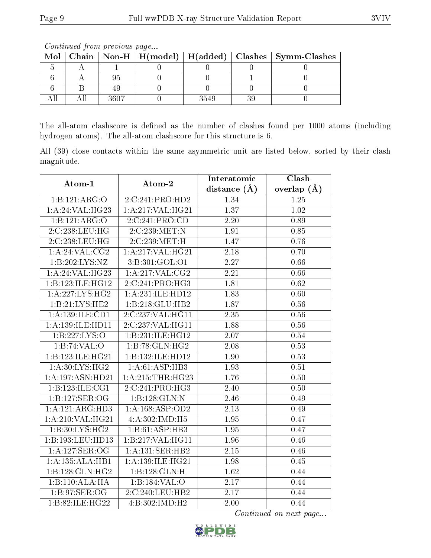|  | <u>oo issanaa oo jiro ila jiro soo aa jiray jorra</u> |      |                                                                    |
|--|-------------------------------------------------------|------|--------------------------------------------------------------------|
|  |                                                       |      | Mol   Chain   Non-H   H(model)   H(added)   Clashes   Symm-Clashes |
|  |                                                       |      |                                                                    |
|  |                                                       |      |                                                                    |
|  |                                                       |      |                                                                    |
|  | 3607                                                  | 3549 |                                                                    |

Continued from previous page...

The all-atom clashscore is defined as the number of clashes found per 1000 atoms (including hydrogen atoms). The all-atom clashscore for this structure is 6.

All (39) close contacts within the same asymmetric unit are listed below, sorted by their clash magnitude.

| Atom-1                       | Atom-2              | Interatomic       | Clash             |
|------------------------------|---------------------|-------------------|-------------------|
|                              |                     | distance $(\AA)$  | overlap $(\AA)$   |
| 1:B:121:ARG:O                | 2:C:241:PRO:HD2     | 1.34              | 1.25              |
| 1:A:24:VAL:HG23              | 1:A:217:VAL:HG21    | 1.37              | $1.02\,$          |
| 1:B:121:ARG:O                | 2:C:241:PRO:CD      | 2.20              | 0.89              |
| 2:C:238:LEU:HG               | 2:C:239:MET:N       | 1.91              | 0.85              |
| 2:C:238:LEU:HG               | 2:C:239:MET:H       | 1.47              | 0.76              |
| 1: A:24:VAL:CG2              | 1:A:217:VAL:HG21    | 2.18              | 0.70              |
| 1:B:202:LYS:NZ               | 3:B:301:GOL:O1      | 2.27              | 0.66              |
| 1: A:24:VAL:HG23             | $1:$ A:217:VAL:CG2  | 2.21              | 0.66              |
| 1:B:123:ILE:HG12             | 2:C:241:PRO:HG3     | 1.81              | 0.62              |
| 1: A:227: LYS: HG2           | 1:A:231:ILE:HD12    | 1.83              | 0.60              |
| 1:B:21:LYS:HE2               | 1:B:218:GLU:HB2     | 1.87              | 0.56              |
| 1: A: 139: ILE: CD1          | 2:C:237:VAL:HG11    | 2.35              | 0.56              |
| 1:A:139:ILE:HD11             | 2:C:237:VAL:HG11    | 1.88              | 0.56              |
| 1:B:227:LYS:O                | 1:B:231:ILE:HG12    | 2.07              | 0.54              |
| 1:B:74:VAL:O                 | 1:B:78:GLN:HG2      | 2.08              | 0.53              |
| 1:B:123:ILE:HG21             | 1:B:132:ILE:HD12    | 1.90              | 0.53              |
| 1: A:30: LYS:HG2             | 1:A:61:ASP:HB3      | 1.93              | 0.51              |
| 1:A:197:ASN:HD21             | 1:A:215:THR:HG23    | 1.76              | 0.50              |
| 1:B:123:ILE:CG1              | 2:C:241:PRO:HG3     | 2.40              | 0.50              |
| 1:B:127:SER:OG               | 1:B:128:GLN:N       | 2.46              | 0.49              |
| $1:A:121:ARG:H\overline{D3}$ | 1: A: 168: ASP: OD2 | 2.13              | 0.49              |
| 1: A:210: VAL:HG21           | 4:A:302:IMD:H5      | 1.95              | 0.47              |
| 1:B:30:LYS:HG2               | 1:B:61:ASP:HB3      | 1.95              | 0.47              |
| 1:B:193:LEU:HD13             | 1:B:217:VAL:HG11    | 1.96              | 0.46              |
| 1:A:127:SER:OG               | 1: A:131: SER:HB2   | $\overline{2.15}$ | $\overline{0.46}$ |
| 1:A:135:ALA:HB1              | 1:A:139:ILE:HG21    | 1.98              | 0.45              |
| 1:B:128:GLN:HG2              | 1:B:128:GLN:H       | 1.62              | 0.44              |
| 1:B:110:ALA:HA               | 1:B:184:VAL:O       | $\overline{2.17}$ | 0.44              |
| 1:B:97:SER:OG                | 2:C:240:LEU:HB2     | 2.17              | 0.44              |
| 1:B:82:1LE:HG22              | 4:B:302:IMD:H2      | 2.00              | 0.44              |

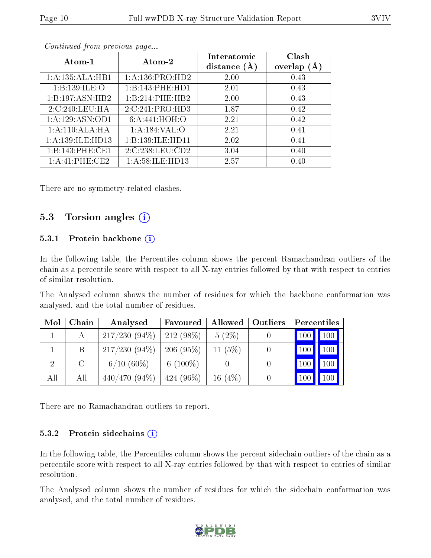| Atom-1               | Atom-2              | Interatomic<br>distance $(A)$ | Clash<br>overlap $(\AA)$ |
|----------------------|---------------------|-------------------------------|--------------------------|
| 1:A:135:ALA:HB1      | 1: A: 136: PRO: HD2 | 2.00                          | 0.43                     |
| 1:B:139:ILE:O        | 1:B:143:PHE:HD1     | 2.01                          | 0.43                     |
| 1:B:197:ASN:HB2      | 1:B:214:PHE:HB2     | 2.00                          | 0.43                     |
| 2:C:240:LEU:HA       | 2:C:241:PRO:HD3     | 1.87                          | 0.42                     |
| 1:A:129:ASN:OD1      | 6: A:441:HOH:O      | 2.21                          | 0.42                     |
| 1:A:110:ALA:HA       | 1: A: 184: VAL: O   | 2.21                          | 0.41                     |
| 1: A: 139: ILE: HD13 | 1:B:139:ILE:HD11    | 2.02                          | 0.41                     |
| 1:B:143:PHE:CE1      | 2:C:238:LEU:CD2     | 3.04                          | 0.40                     |
| 1: A:41:PHE:CE2      | 1: A:58: ILE: HD13  | 2.57                          | 0.40                     |

Continued from previous page...

There are no symmetry-related clashes.

#### 5.3 Torsion angles  $(i)$

#### 5.3.1 Protein backbone  $(i)$

In the following table, the Percentiles column shows the percent Ramachandran outliers of the chain as a percentile score with respect to all X-ray entries followed by that with respect to entries of similar resolution.

The Analysed column shows the number of residues for which the backbone conformation was analysed, and the total number of residues.

| Mol | Chain         | Analysed        | Favoured    | Allowed   Outliers | Percentiles |                     |
|-----|---------------|-----------------|-------------|--------------------|-------------|---------------------|
|     |               | $217/230(94\%)$ | $212(98\%)$ | $5(2\%)$           | 100         | $\vert$ 100 $\vert$ |
|     | B             | $217/230(94\%)$ | 206(95%)    | 11 $(5%)$          |             | $100 \mid$          |
|     | $\mathcal{C}$ | $6/10(60\%)$    | 6 $(100\%)$ |                    | 100         | $100 \mid$          |
| All | All           | $440/470(94\%)$ | $424(96\%)$ | 16 $(4%)$          |             |                     |

There are no Ramachandran outliers to report.

#### 5.3.2 Protein sidechains  $(i)$

In the following table, the Percentiles column shows the percent sidechain outliers of the chain as a percentile score with respect to all X-ray entries followed by that with respect to entries of similar resolution.

The Analysed column shows the number of residues for which the sidechain conformation was analysed, and the total number of residues.

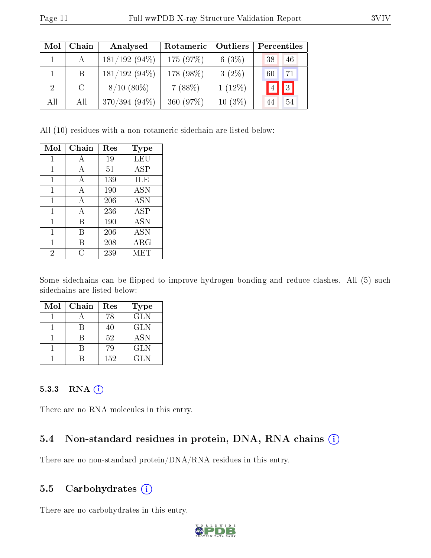| Mol | Chain | Analysed        | Rotameric | Outliers  | Percentiles     |
|-----|-------|-----------------|-----------|-----------|-----------------|
|     |       | $181/192(94\%)$ | 175 (97%) | 6(3%)     | 46<br>38        |
|     | Β     | $181/192(94\%)$ | 178 (98%) | $3(2\%)$  | 71<br>60        |
| 2   | C     | $8/10(80\%)$    | 7(88%)    | $1(12\%)$ | $\vert$ 3<br> 4 |
| All | All   | $370/394(94\%)$ | 360 (97%) | $10(3\%)$ | 54<br>44        |

All (10) residues with a non-rotameric sidechain are listed below:

| Mol | Chain | Res | Type       |
|-----|-------|-----|------------|
| 1   | А     | 19  | LEU        |
| 1   | А     | 51  | ASP        |
| 1   | A     | 139 | ILE        |
| 1   | A     | 190 | ASN        |
| 1   | А     | 206 | ASN        |
| 1   | А     | 236 | <b>ASP</b> |
| 1   | В     | 190 | <b>ASN</b> |
| 1   | В     | 206 | ASN        |
| 1   | В     | 208 | $\rm{ARG}$ |
| 2   | C     | 239 | MET        |

Some sidechains can be flipped to improve hydrogen bonding and reduce clashes. All (5) such sidechains are listed below:

| Mol | Chain | Res | Type       |
|-----|-------|-----|------------|
|     |       | 78  | <b>GLN</b> |
|     |       | 40  | <b>GLN</b> |
|     |       | 52  | <b>ASN</b> |
|     |       | 79  | <b>GLN</b> |
|     |       | 152 | GL N       |

#### 5.3.3 RNA (i)

There are no RNA molecules in this entry.

### 5.4 Non-standard residues in protein, DNA, RNA chains  $(i)$

There are no non-standard protein/DNA/RNA residues in this entry.

#### 5.5 Carbohydrates  $(i)$

There are no carbohydrates in this entry.

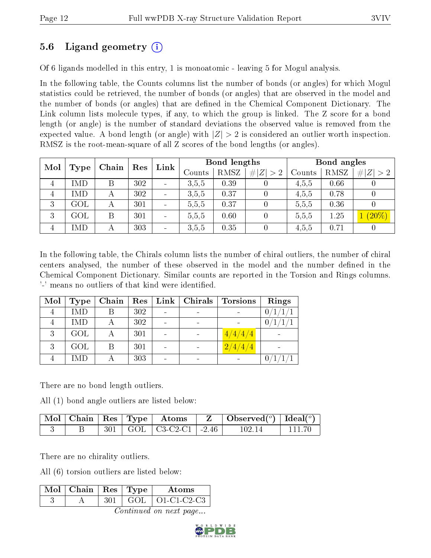### 5.6 Ligand geometry (i)

Of 6 ligands modelled in this entry, 1 is monoatomic - leaving 5 for Mogul analysis.

In the following table, the Counts columns list the number of bonds (or angles) for which Mogul statistics could be retrieved, the number of bonds (or angles) that are observed in the model and the number of bonds (or angles) that are dened in the Chemical Component Dictionary. The Link column lists molecule types, if any, to which the group is linked. The Z score for a bond length (or angle) is the number of standard deviations the observed value is removed from the expected value. A bond length (or angle) with  $|Z| > 2$  is considered an outlier worth inspection. RMSZ is the root-mean-square of all Z scores of the bond lengths (or angles).

| Mol            | Type      |                           | Res<br>Chain | Link                         | Bond lengths |      |             | Bond angles |      |             |
|----------------|-----------|---------------------------|--------------|------------------------------|--------------|------|-------------|-------------|------|-------------|
|                |           |                           |              |                              | Counts       | RMSZ | # $ Z  > 2$ | Counts      | RMSZ | # $ Z  > 2$ |
| 4              | IMD       | В                         | 302          | $\overline{\phantom{a}}$     | 3.5,5        | 0.39 |             | 4.5.5       | 0.66 |             |
| $\overline{4}$ | IMD       | А                         | 302          | $\overline{\phantom{a}}$     | 3.5,5        | 0.37 |             | 4,5,5       | 0.78 |             |
| 3              | $\rm GOL$ | $\boldsymbol{\mathsf{A}}$ | 301          | $\qquad \qquad \blacksquare$ | 5,5,5        | 0.37 |             | 5,5,5       | 0.36 |             |
| 3              | $\rm GOL$ | Β                         | 301          | $\overline{\phantom{a}}$     | 5,5,5        | 0.60 |             | 5,5,5       | 1.25 | $(20\%)$    |
| 4              | MD        |                           | 303          | $\overline{\phantom{a}}$     | 3,5,5        | 0.35 |             | 4,5,5       | 0.71 |             |

In the following table, the Chirals column lists the number of chiral outliers, the number of chiral centers analysed, the number of these observed in the model and the number defined in the Chemical Component Dictionary. Similar counts are reported in the Torsion and Rings columns. '-' means no outliers of that kind were identified.

| Mol | <b>Type</b> | Chain | $\mathrm{Res}^+$ | Link | $\mid$ Chirals | <b>Torsions</b>   | Rings |
|-----|-------------|-------|------------------|------|----------------|-------------------|-------|
|     | <b>IMD</b>  |       | 302              |      |                |                   |       |
|     | <b>IMD</b>  |       | 302              |      |                |                   | 0     |
| 3   | GOL         | А     | 301              |      |                | $\frac{4}{4}/4/4$ |       |
| 3   | GOL         | В     | 301              |      |                | 2/4/4/4           |       |
|     | IMD         |       | 303              |      | $\equiv$       |                   |       |

There are no bond length outliers.

All (1) bond angle outliers are listed below:

|  |  | $\mid$ Mol $\mid$ Chain $\mid$ Res $\mid$ Type $\mid$ Atoms $\mid$ Z $\mid$ Observed( $^o$ ) $\mid$ Ideal( $^o$ ) $\mid$ |  |           |         |
|--|--|--------------------------------------------------------------------------------------------------------------------------|--|-----------|---------|
|  |  | $\pm$ 301   GOL   C3-C2-C1   -2.46                                                                                       |  | $-102.14$ | -111-70 |

There are no chirality outliers.

All (6) torsion outliers are listed below:

| Mol | Chain | $\perp$ Res $\perp$ | $\perp$ 'Type | Atoms         |
|-----|-------|---------------------|---------------|---------------|
|     |       |                     |               | $O1-C1-C2-C3$ |

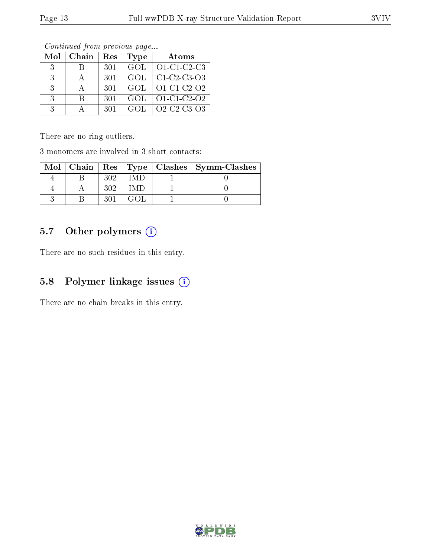| Mol           | Chain | Res | <b>Type</b> | Atoms                                                          |
|---------------|-------|-----|-------------|----------------------------------------------------------------|
| -3.           | К     | 301 | - GOL       | $O1-C1-C2-C3$                                                  |
| -3            |       | 301 | GOL         | $C1-C2-C3-O3$                                                  |
| $-3$          |       | 301 | GOL         | $O1-C1-C2-O2$                                                  |
| $\mathcal{R}$ | R     | 301 | GOL         | $O1-C1-C2-O2$                                                  |
| $\mathcal{R}$ |       | 301 | GOL.        | O <sub>2</sub> -C <sub>2</sub> -C <sub>3</sub> -O <sub>3</sub> |

Continued from previous page...

There are no ring outliers.

3 monomers are involved in 3 short contacts:

|  |     |  | Mol   Chain   Res   Type   Clashes   Symm-Clashes |
|--|-----|--|---------------------------------------------------|
|  | 309 |  |                                                   |
|  | 309 |  |                                                   |
|  |     |  |                                                   |

### 5.7 [O](https://www.wwpdb.org/validation/2017/XrayValidationReportHelp#nonstandard_residues_and_ligands)ther polymers (i)

There are no such residues in this entry.

### 5.8 Polymer linkage issues (i)

There are no chain breaks in this entry.

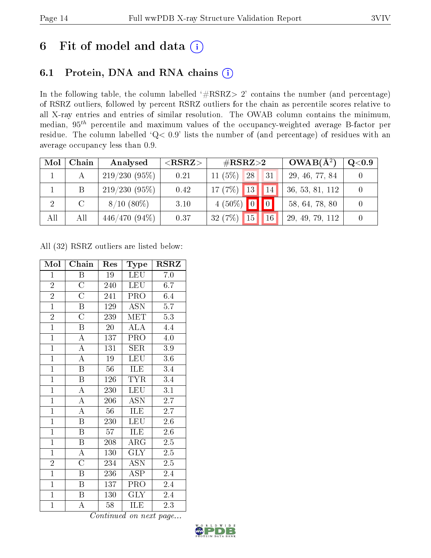# 6 Fit of model and data  $(i)$

### 6.1 Protein, DNA and RNA chains  $(i)$

In the following table, the column labelled  $#RSRZ> 2'$  contains the number (and percentage) of RSRZ outliers, followed by percent RSRZ outliers for the chain as percentile scores relative to all X-ray entries and entries of similar resolution. The OWAB column contains the minimum, median,  $95<sup>th</sup>$  percentile and maximum values of the occupancy-weighted average B-factor per residue. The column labelled ' $Q< 0.9$ ' lists the number of (and percentage) of residues with an average occupancy less than 0.9.

| Mol | Chain  | Analysed        | ${ <\hspace{-1.5pt}{\mathrm{RSRZ}} \hspace{-1.5pt}>}$ | $\#\text{RSRZ}\text{>2}$            | $OWAB(A^2)$     | Q <sub>0.9</sub> |
|-----|--------|-----------------|-------------------------------------------------------|-------------------------------------|-----------------|------------------|
|     |        | $219/230(95\%)$ | 0.21                                                  | (5%)<br>28 <sub>1</sub><br>31<br>11 | 29, 46, 77, 84  |                  |
|     | B      | 219/230(95%)    | 0.42                                                  | $17(7%)$ 13<br>14                   | 36, 53, 81, 112 |                  |
|     | $\cap$ | $8/10(80\%)$    | 3.10                                                  | $4(50\%)$ 0                         | 58, 64, 78, 80  |                  |
| All | All    | $446/470(94\%)$ | 0.37                                                  | 32(7%)<br>15<br>16                  | 29, 49, 79, 112 |                  |

All (32) RSRZ outliers are listed below:

| Mol            | Chain                     | Res             | Type                    | $_{\rm RSRZ}$     |
|----------------|---------------------------|-----------------|-------------------------|-------------------|
| $\mathbf{1}$   | B                         | 19              | LEU                     | 7.0               |
| $\overline{2}$ | $\overline{\rm C}$        | 240             | <b>LEU</b>              | 6.7               |
| $\frac{2}{1}$  | $\overline{\rm C}$        | 241             | <b>PRO</b>              | 6.4               |
|                | $\boldsymbol{\mathrm{B}}$ | 129             | $\overline{ASN}$        | $\overline{5.7}$  |
| $\overline{2}$ | $\overline{\text{C}}$     | 239             | MET                     | 5.3               |
| $\overline{1}$ | $\overline{\mathrm{B}}$   | $\overline{20}$ | $\overline{\text{ALA}}$ | 4.4               |
| $\overline{1}$ | $\overline{A}$            | 137             | PRO                     | $4.0\,$           |
| $\overline{1}$ | $\overline{\rm A}$        | 131             | SER                     | 3.9               |
| $\overline{1}$ | $\overline{\rm A}$        | $19\,$          | <b>LEU</b>              | $3.6\,$           |
| $\overline{1}$ | $\, {\bf B}$              | 56              | ILE                     | 3.4               |
| $\overline{1}$ | B                         | 126             | <b>TYR</b>              | 3.4               |
| $\mathbf{1}$   | $\boldsymbol{A}$          | 230             | <b>LEU</b>              | 3.1               |
| $\mathbf{1}$   | $\boldsymbol{A}$          | 206             | <b>ASN</b>              | $2.\overline{7}$  |
| $\overline{1}$ | $\overline{\rm A}$        | 56              | ILE                     | 2.7               |
| $\overline{1}$ | $\overline{\mathrm{B}}$   | 230             | <b>LEU</b>              | 2.6               |
| $\overline{1}$ | $\overline{\mathrm{B}}$   | 57              | ILE                     | $2.\overline{6}$  |
| $\overline{1}$ | $\overline{\mathrm{B}}$   | 208             | $\rm{ARG}$              | $2.\overline{5}$  |
| $\overline{1}$ | $\overline{\rm A}$        | 130             | $\overline{\text{GLY}}$ | $2.5\overline{)}$ |
| $\overline{2}$ | $\overline{\rm C}$        | 234             | ASN                     | $2.5\,$           |
| $\mathbf{1}$   | B                         | 236             | <b>ASP</b>              | 2.4               |
| $\overline{1}$ | Β                         | 137             | PRO                     | 2.4               |
| $\overline{1}$ | $\, {\bf B}$              | 130             | <b>GLY</b>              | $2.4\,$           |
| $\mathbf{1}$   | А                         | 58              | ILE                     | 2.3               |